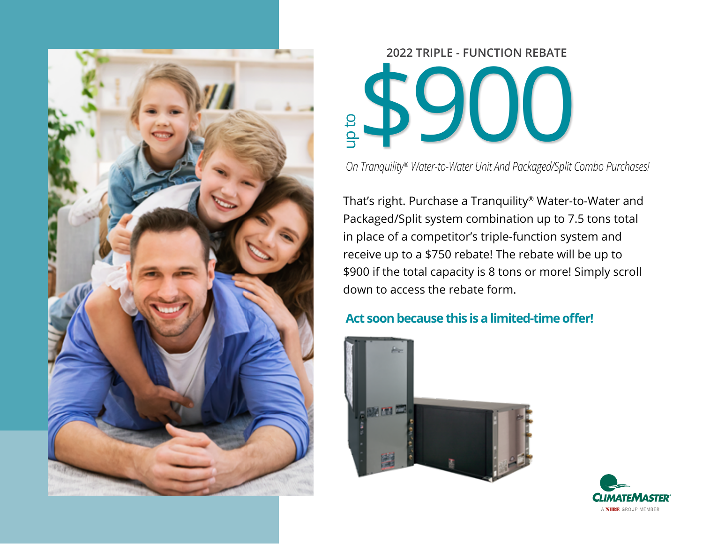

# **2022 TRIPLE - FUNCTION REBATE** \$900 **On Tranquility® Water-to-Water Unit And Packaged/Split Combo Purchases!**

That's right. Purchase a Tranquility® Water-to-Water and Packaged/Split system combination up to 7.5 tons total in place of a competitor's triple-function system and receive up to a \$750 rebate! The rebate will be up to \$900 if the total capacity is 8 tons or more! Simply scroll down to access the rebate form.

#### **Act soon because this is a limited-time offer!**



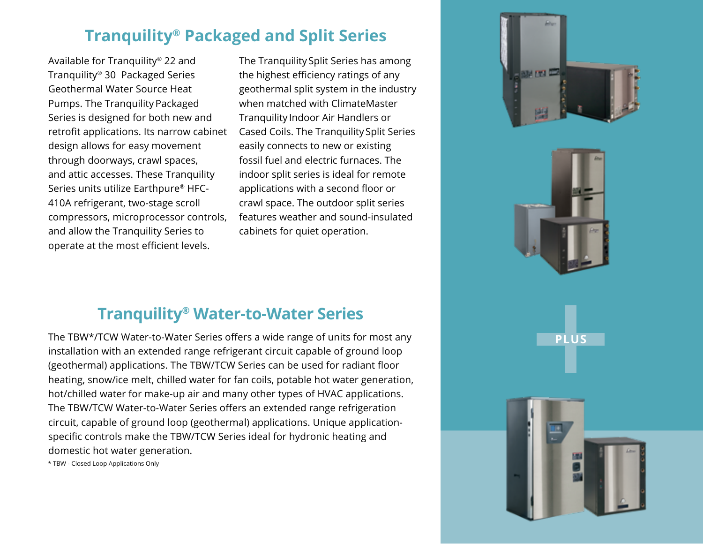#### **Tranquility® Packaged and Split Series**

Available for Tranquility® 22 and Tranquility® 30 Packaged Series Geothermal Water Source Heat Pumps. The Tranquility Packaged Series is designed for both new and retrofit applications. Its narrow cabinet design allows for easy movement through doorways, crawl spaces, and attic accesses. These Tranquility Series units utilize Earthpure® HFC-410A refrigerant, two-stage scroll compressors, microprocessor controls, and allow the Tranquility Series to operate at the most efficient levels.

The Tranquility Split Series has among the highest efficiency ratings of any geothermal split system in the industry when matched with ClimateMaster Tranquility Indoor Air Handlers or Cased Coils. The Tranquility Split Series easily connects to new or existing fossil fuel and electric furnaces. The indoor split series is ideal for remote applications with a second floor or crawl space. The outdoor split series features weather and sound-insulated cabinets for quiet operation.





**PLUS**

### **Tranquility® Water-to-Water Series**

The TBW\*/TCW Water-to-Water Series offers a wide range of units for most any installation with an extended range refrigerant circuit capable of ground loop (geothermal) applications. The TBW/TCW Series can be used for radiant floor heating, snow/ice melt, chilled water for fan coils, potable hot water generation, hot/chilled water for make-up air and many other types of HVAC applications. The TBW/TCW Water-to-Water Series offers an extended range refrigeration circuit, capable of ground loop (geothermal) applications. Unique applicationspecific controls make the TBW/TCW Series ideal for hydronic heating and domestic hot water generation.

\* TBW - Closed Loop Applications Only